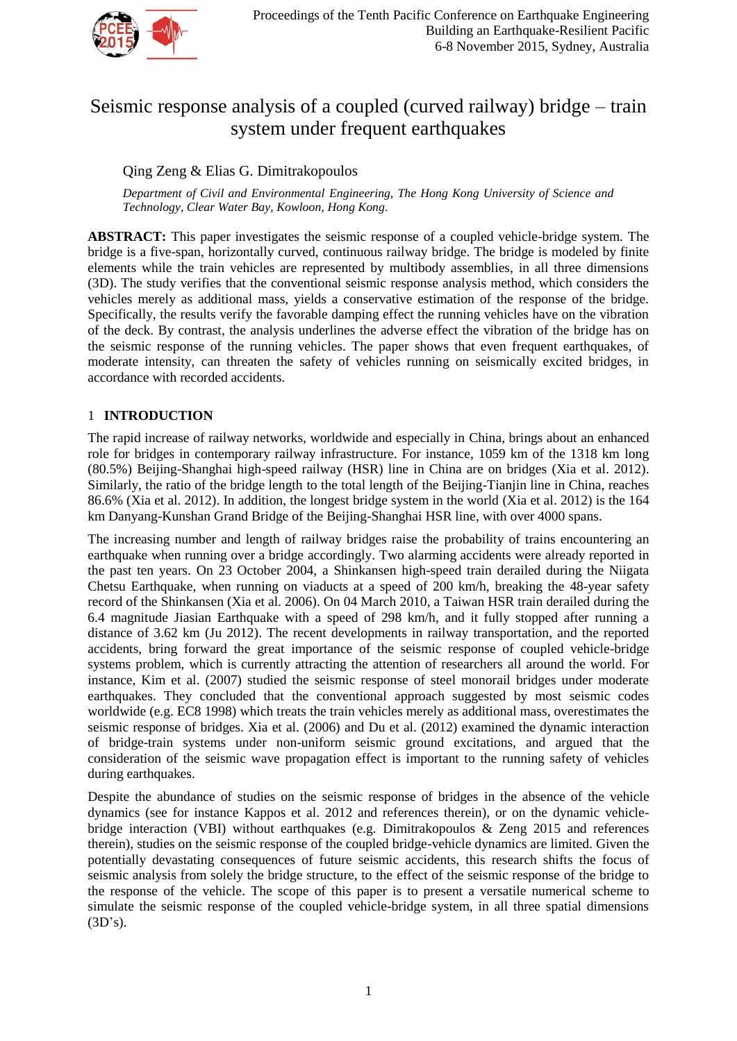

# Seismic response analysis of a coupled (curved railway) bridge – train system under frequent earthquakes

# Qing Zeng & Elias G. Dimitrakopoulos

*Department of Civil and Environmental Engineering, The Hong Kong University of Science and Technology, Clear Water Bay, Kowloon, Hong Kong.*

**ABSTRACT:** This paper investigates the seismic response of a coupled vehicle-bridge system. The bridge is a five-span, horizontally curved, continuous railway bridge. The bridge is modeled by finite elements while the train vehicles are represented by multibody assemblies, in all three dimensions (3D). The study verifies that the conventional seismic response analysis method, which considers the vehicles merely as additional mass, yields a conservative estimation of the response of the bridge. Specifically, the results verify the favorable damping effect the running vehicles have on the vibration of the deck. By contrast, the analysis underlines the adverse effect the vibration of the bridge has on the seismic response of the running vehicles. The paper shows that even frequent earthquakes, of moderate intensity, can threaten the safety of vehicles running on seismically excited bridges, in accordance with recorded accidents.

# 1 **INTRODUCTION**

The rapid increase of railway networks, worldwide and especially in China, brings about an enhanced role for bridges in contemporary railway infrastructure. For instance, 1059 km of the 1318 km long (80.5%) Beijing-Shanghai high-speed railway (HSR) line in China are on bridges (Xia et al. 2012). Similarly, the ratio of the bridge length to the total length of the Beijing-Tianjin line in China, reaches 86.6% (Xia et al. 2012). In addition, the longest bridge system in the world (Xia et al. 2012) is the 164 km Danyang-Kunshan Grand Bridge of the Beijing-Shanghai HSR line, with over 4000 spans.

The increasing number and length of railway bridges raise the probability of trains encountering an earthquake when running over a bridge accordingly. Two alarming accidents were already reported in the past ten years. On 23 October 2004, a Shinkansen high-speed train derailed during the Niigata Chetsu Earthquake, when running on viaducts at a speed of 200 km/h, breaking the 48-year safety record of the Shinkansen (Xia et al. 2006). On 04 March 2010, a Taiwan HSR train derailed during the 6.4 magnitude Jiasian Earthquake with a speed of 298 km/h, and it fully stopped after running a distance of 3.62 km (Ju 2012). The recent developments in railway transportation, and the reported accidents, bring forward the great importance of the seismic response of coupled vehicle-bridge systems problem, which is currently attracting the attention of researchers all around the world. For instance, Kim et al. (2007) studied the seismic response of steel monorail bridges under moderate earthquakes. They concluded that the conventional approach suggested by most seismic codes worldwide (e.g. EC8 1998) which treats the train vehicles merely as additional mass, overestimates the seismic response of bridges. Xia et al. (2006) and Du et al. (2012) examined the dynamic interaction of bridge-train systems under non-uniform seismic ground excitations, and argued that the consideration of the seismic wave propagation effect is important to the running safety of vehicles during earthquakes.

Despite the abundance of studies on the seismic response of bridges in the absence of the vehicle dynamics (see for instance Kappos et al. 2012 and references therein), or on the dynamic vehiclebridge interaction (VBI) without earthquakes (e.g. Dimitrakopoulos & Zeng 2015 and references therein), studies on the seismic response of the coupled bridge-vehicle dynamics are limited. Given the potentially devastating consequences of future seismic accidents, this research shifts the focus of seismic analysis from solely the bridge structure, to the effect of the seismic response of the bridge to the response of the vehicle. The scope of this paper is to present a versatile numerical scheme to simulate the seismic response of the coupled vehicle-bridge system, in all three spatial dimensions  $(3D's).$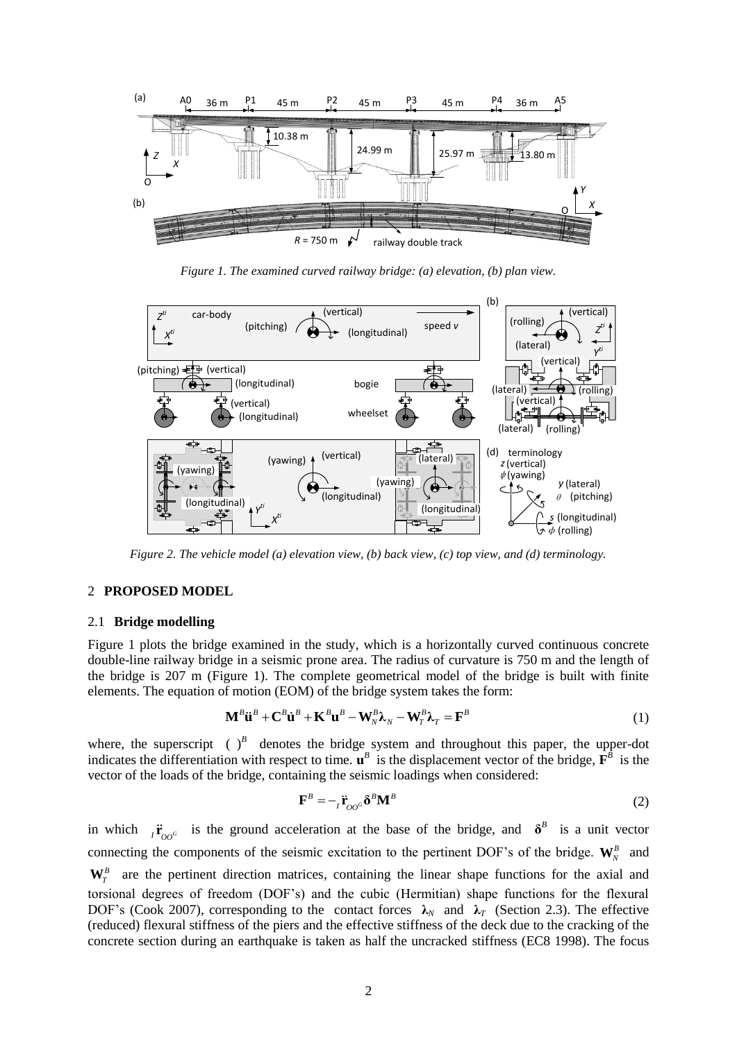

*Figure 1. The examined curved railway bridge: (a) elevation, (b) plan view.* 

<span id="page-1-0"></span>

<span id="page-1-1"></span>*Figure 2. The vehicle model (a) elevation view, (b) back view, (c) top view, and (d) terminology.* 

# 2 **PROPOSED MODEL**

#### 2.1 **Bridge modelling**

[Figure 1](#page-1-0) plots the bridge examined in the study, which is a horizontally curved continuous concrete double-line railway bridge in a seismic prone area. The radius of curvature is 750 m and the length of the bridge is 207 m [\(Figure 1\)](#page-1-0). The complete geometrical model of the bridge is built with finite elements. The equation of motion (EOM) of the bridge system takes the form:<br>  $\mathbf{M}^B \ddot{\mathbf{u}}^B + \mathbf{C}^B \dot{\mathbf{u}}^B + \mathbf{K}^B \mathbf{u}^B - \mathbf{W}^B_N \lambda_N - \mathbf{W}^B_T \lambda_T = \mathbf{F}^B$ 

$$
\mathbf{M}^{B} \ddot{\mathbf{u}}^{B} + \mathbf{C}^{B} \dot{\mathbf{u}}^{B} + \mathbf{K}^{B} \mathbf{u}^{B} - \mathbf{W}_{N}^{B} \lambda_{N} - \mathbf{W}_{T}^{B} \lambda_{T} = \mathbf{F}^{B}
$$
\n(1)

where, the superscript  $\left(\begin{array}{cc} \end{array}\right)^B$  denotes the bridge system and throughout this paper, the upper-dot indicates the differentiation with respect to time.  $\mathbf{u}^B$  is the displacement vector of the bridge,  $\mathbf{F}^B$  is the vector of the loads of the bridge, containing the seismic loadings when considered:

<span id="page-1-2"></span>
$$
\mathbf{F}^B = -_I \ddot{\mathbf{r}}_{OO^G} \delta^B \mathbf{M}^B
$$
 (2)

in which  $I_{I_{OO}^c}$  is the ground acceleration at the base of the bridge, and  $\delta^B$  is a unit vector connecting the components of the seismic excitation to the pertinent DOF's of the bridge.  $W^B_N$  and  $W_T^B$  are the pertinent direction matrices, containing the linear shape functions for the axial and torsional degrees of freedom (DOF's) and the cubic (Hermitian) shape functions for the flexural DOF's (Cook 2007), corresponding to the contact forces  $\lambda_N$  and  $\lambda_T$  (Section 2.3). The effective (reduced) flexural stiffness of the piers and the effective stiffness of the deck due to the cracking of the concrete section during an earthquake is taken as half the uncracked stiffness (EC8 1998). The focus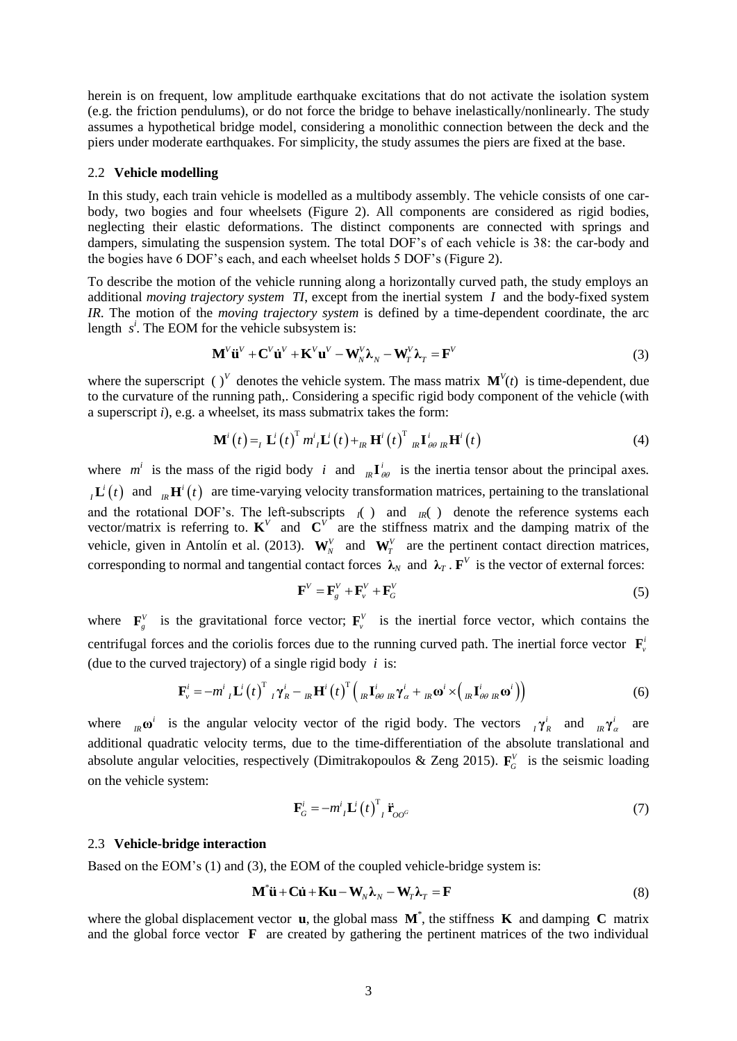herein is on frequent, low amplitude earthquake excitations that do not activate the isolation system (e.g. the friction pendulums), or do not force the bridge to behave inelastically/nonlinearly. The study assumes a hypothetical bridge model, considering a monolithic connection between the deck and the piers under moderate earthquakes. For simplicity, the study assumes the piers are fixed at the base.

#### 2.2 **Vehicle modelling**

In this study, each train vehicle is modelled as a multibody assembly. The vehicle consists of one carbody, two bogies and four wheelsets [\(Figure 2\)](#page-1-1). All components are considered as rigid bodies, neglecting their elastic deformations. The distinct components are connected with springs and dampers, simulating the suspension system. The total DOF's of each vehicle is 38: the car-body and the bogies have 6 DOF's each, and each wheelset holds 5 DOF's [\(Figure 2\)](#page-1-1).

To describe the motion of the vehicle running along a horizontally curved path, the study employs an additional *moving trajectory system TI*, except from the inertial system *I* and the body-fixed system *IR*. The motion of the *moving trajectory system* is defined by a time-dependent coordinate, the arc length *s*<sup>*i*</sup>. The EOM for the vehicle subsystem is:<br>  $\mathbf{M}^V \ddot{\mathbf{u}}^V + \mathbf{C}^V \dot{\mathbf{u}}^V + \mathbf{K}^V \mathbf{u}^V - \mathbf{W}^V_N \lambda_N - \mathbf{W}^V_T \lambda_T = \mathbf{F}^V$ 

<span id="page-2-0"></span>
$$
\mathbf{M}^V \ddot{\mathbf{u}}^V + \mathbf{C}^V \dot{\mathbf{u}}^V + \mathbf{K}^V \mathbf{u}^V - \mathbf{W}_N^V \lambda_N - \mathbf{W}_T^V \lambda_T = \mathbf{F}^V
$$
 (3)

where the superscript ( )<sup>*V*</sup> denotes the vehicle system. The mass matrix  $\mathbf{M}^{V}(t)$  is time-dependent, due to the curvature of the running path,. Considering a specific rigid body component of the vehicle (with

a superscript *i*), e.g. a wheelset, its mass submatrix takes the form:  
\n
$$
\mathbf{M}^{i}(t) =_{I} \mathbf{L}^{i}(t)^{T} m^{i}{}_{I} \mathbf{L}^{i}(t) +_{I R} \mathbf{H}^{i}(t)^{T} {}_{I R} \mathbf{I}^{i}{}_{\theta\theta} {}_{I R} \mathbf{H}^{i}(t)
$$
\n(4)

where  $m^i$  is the mass of the rigid body *i* and  $_R I^i_{\theta\theta}$  is the inertia tensor about the principal axes.  $I_I$ **L**<sup>*i*</sup>(*t*) and  $I_R$ **H**<sup>*i*</sup>(*t*) are time-varying velocity transformation matrices, pertaining to the translational and the rotational DOF's. The left-subscripts  $I(\ )$  and  $I(R)$  denote the reference systems each vector/matrix is referring to.  $K^V$  and  $C^V$  are the stiffness matrix and the damping matrix of the vehicle, given in Antol n et al. (2013).  $W_N^V$  and  $W_T^V$  are the pertinent contact direction matrices, corresponding to normal and tangential contact forces  $\lambda_N$  and  $\lambda_T$ .  $\mathbf{F}^V$  is the vector of external forces:

$$
\mathbf{F}^V = \mathbf{F}_g^V + \mathbf{F}_v^V + \mathbf{F}_G^V \tag{5}
$$

where  $\mathbf{F}_{g}^{V}$  is the gravitational force vector;  $\mathbf{F}_{v}^{V}$  is the inertial force vector, which contains the centrifugal forces and the coriolis forces due to the running curved path. The inertial force vector  $\mathbf{F}_{\nu}$ (due to the curved trajectory) of a single rigid body *i* is:<br>  $\mathbf{F}^i = -m^i \cdot \mathbf{L}^i(t)^T \cdot \mathbf{v}^i = -\mathbf{H}^i(t)^T (\cdot \mathbf{L}^i)$ 

ed trajectory) of a single rigid body *i* is:  
\n
$$
\mathbf{F}_{\nu}^{i} = -m^{i} {}_{I} \mathbf{L}^{i} (t)^{T} {}_{I} \gamma_{R}^{i} - {}_{I R} \mathbf{H}^{i} (t)^{T} \Big( {}_{I R} \mathbf{I}_{\theta\theta}^{i} {}_{I R} \gamma_{\alpha}^{i} + {}_{I R} \boldsymbol{\omega}^{i} \times \Big( {}_{I R} \mathbf{I}_{\theta\theta}^{i} {}_{I R} \boldsymbol{\omega}^{i} \Big) \Big)
$$
\n(6)

where  ${}_{iR}\omega^{i}$  is the angular velocity vector of the rigid body. The vectors  ${}_{i}\gamma^{i}_{R}$  and  ${}_{iR}\gamma^{i}_{\alpha}$  are additional quadratic velocity terms, due to the time-differentiation of the absolute translational and absolute angular velocities, respectively (Dimitrakopoulos & Zeng 2015).  $\mathbf{F}_G^V$  is the seismic loading on the vehicle system:

$$
\mathbf{F}_{G}^{i} = -m_{I}^{i} \mathbf{L}^{i} (t)^{\mathrm{T}}_{I} \ddot{\mathbf{r}}_{OO^{G}}
$$
 (7)

## 2.3 **Vehicle-bridge interaction**

Based on the EOM's [\(1\)](#page-1-2) and [\(3\),](#page-2-0) the EOM of the coupled vehicle-bridge system is:<br>  $\mathbf{M}^* \ddot{\mathbf{u}} + \mathbf{C} \dot{\mathbf{u}} + \mathbf{K} \mathbf{u} - \mathbf{W}_N \boldsymbol{\lambda}_N - \mathbf{W}_T \boldsymbol{\lambda}_T = \mathbf{F}$ 

$$
\mathbf{M}^* \ddot{\mathbf{u}} + \mathbf{C} \dot{\mathbf{u}} + \mathbf{K} \mathbf{u} - \mathbf{W}_N \lambda_N - \mathbf{W}_T \lambda_T = \mathbf{F}
$$
 (8)

where the global displacement vector  $\bf{u}$ , the global mass  $\bf{M}^*$ , the stiffness  $\bf{K}$  and damping  $\bf{C}$  matrix and the global force vector **F** are created by gathering the pertinent matrices of the two individual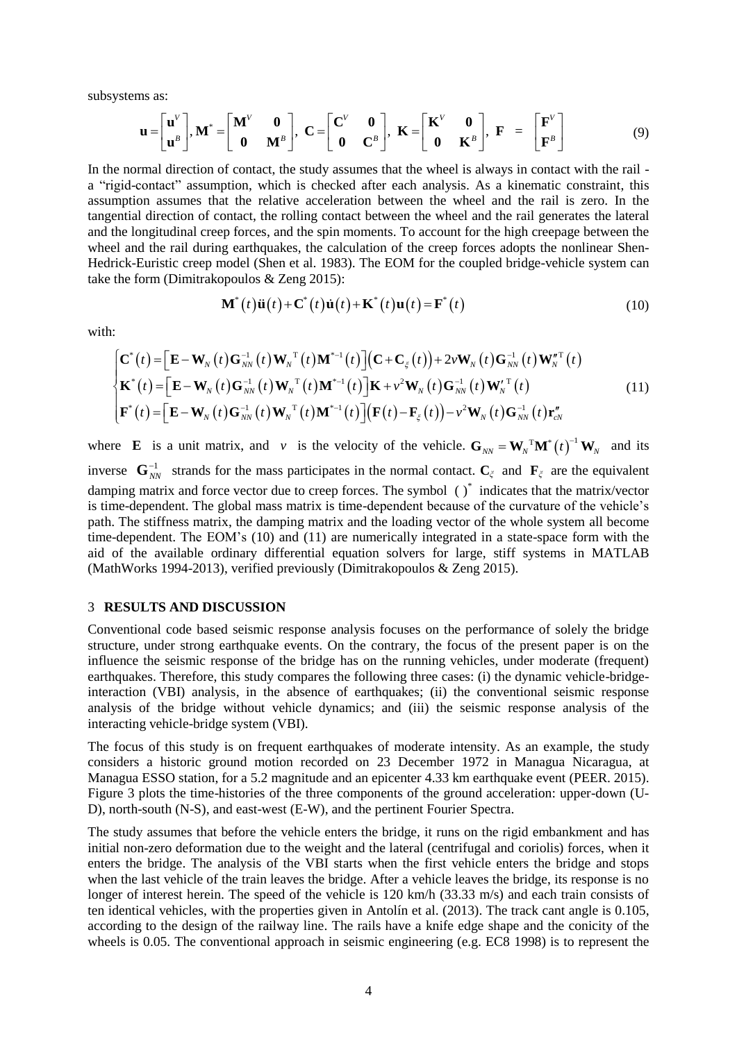subsystems as:

ns as:  
\n
$$
\mathbf{u} = \begin{bmatrix} \mathbf{u}^V \\ \mathbf{u}^B \end{bmatrix}, \mathbf{M}^* = \begin{bmatrix} \mathbf{M}^V & \mathbf{0} \\ \mathbf{0} & \mathbf{M}^B \end{bmatrix}, \ \mathbf{C} = \begin{bmatrix} \mathbf{C}^V & \mathbf{0} \\ \mathbf{0} & \mathbf{C}^B \end{bmatrix}, \ \mathbf{K} = \begin{bmatrix} \mathbf{K}^V & \mathbf{0} \\ \mathbf{0} & \mathbf{K}^B \end{bmatrix}, \ \mathbf{F} = \begin{bmatrix} \mathbf{F}^V \\ \mathbf{F}^B \end{bmatrix}
$$
\n(9)

In the normal direction of contact, the study assumes that the wheel is always in contact with the rail a "rigid-contact" assumption, which is checked after each analysis. As a kinematic constraint, this assumption assumes that the relative acceleration between the wheel and the rail is zero. In the tangential direction of contact, the rolling contact between the wheel and the rail generates the lateral and the longitudinal creep forces, and the spin moments. To account for the high creepage between the wheel and the rail during earthquakes, the calculation of the creep forces adopts the nonlinear Shen-Hedrick-Euristic creep model (Shen et al. 1983). The EOM for the coupled bridge-vehicle system can take the form (Dimitrakopoulos & Zeng 2015):<br>  $\mathbf{M}^*(t)\ddot{\mathbf{u}}(t) + \mathbf{C}^*(t)\dot{\mathbf{u}}(t) + \mathbf{K}^*(t)\mathbf{u}(t) = \mathbf{F}^*(t)$ 

<span id="page-3-1"></span><span id="page-3-0"></span>
$$
\mathbf{M}^*(t)\ddot{\mathbf{u}}(t) + \mathbf{C}^*(t)\dot{\mathbf{u}}(t) + \mathbf{K}^*(t)\mathbf{u}(t) = \mathbf{F}^*(t)
$$
\n(10)

with:

$$
\mathbf{M}^{*}(t)\ddot{\mathbf{u}}(t) + \mathbf{C}^{*}(t)\dot{\mathbf{u}}(t) + \mathbf{K}^{*}(t)\mathbf{u}(t) = \mathbf{F}^{*}(t)
$$
\n(10)\n
$$
\begin{aligned}\n\mathbf{C}^{*}(t) &= \left[\mathbf{E} - \mathbf{W}_{N}(t)\mathbf{G}_{NN}^{-1}(t)\mathbf{W}_{N}^{-T}(t)\mathbf{M}^{*-1}(t)\right](\mathbf{C} + \mathbf{C}_{\xi}(t)) + 2\nu \mathbf{W}_{N}(t)\mathbf{G}_{NN}^{-1}(t)\mathbf{W}_{N}^{*T}(t) \\
\mathbf{K}^{*}(t) &= \left[\mathbf{E} - \mathbf{W}_{N}(t)\mathbf{G}_{NN}^{-1}(t)\mathbf{W}_{N}^{-T}(t)\mathbf{M}^{*-1}(t)\right]\mathbf{K} + \nu^{2}\mathbf{W}_{N}(t)\mathbf{G}_{NN}^{-1}(t)\mathbf{W}_{N}^{*T}(t) \\
\mathbf{F}^{*}(t) &= \left[\mathbf{E} - \mathbf{W}_{N}(t)\mathbf{G}_{NN}^{-1}(t)\mathbf{W}_{N}^{-T}(t)\mathbf{M}^{*-1}(t)\right](\mathbf{F}(t) - \mathbf{F}_{\xi}(t)) - \nu^{2}\mathbf{W}_{N}(t)\mathbf{G}_{NN}^{-1}(t)\mathbf{r}_{cN}^{*}\n\end{aligned} \tag{11}
$$

where **E** is a unit matrix, and *v* is the velocity of the vehicle.  $\mathbf{G}_{NN} = \mathbf{W}_N^T \mathbf{M}^* (t)^{-1} \mathbf{W}_N$  and its inverse  $\mathbf{G}_{NN}^{-1}$  strands for the mass participates in the normal contact.  $\mathbf{C}_{\zeta}$  and  $\mathbf{F}_{\zeta}$  are the equivalent damping matrix and force vector due to creep forces. The symbol ()<sup>\*</sup> indicates that the matrix/vector is time-dependent. The global mass matrix is time-dependent because of the curvature of the vehicle's path. The stiffness matrix, the damping matrix and the loading vector of the whole system all become time-dependent. The EOM's [\(10\)](#page-3-0) and [\(11\)](#page-3-1) are numerically integrated in a state-space form with the aid of the available ordinary differential equation solvers for large, stiff systems in MATLAB (MathWorks 1994-2013), verified previously (Dimitrakopoulos & Zeng 2015).

## 3 **RESULTS AND DISCUSSION**

Conventional code based seismic response analysis focuses on the performance of solely the bridge structure, under strong earthquake events. On the contrary, the focus of the present paper is on the influence the seismic response of the bridge has on the running vehicles, under moderate (frequent) earthquakes. Therefore, this study compares the following three cases: (i) the dynamic vehicle-bridgeinteraction (VBI) analysis, in the absence of earthquakes; (ii) the conventional seismic response analysis of the bridge without vehicle dynamics; and (iii) the seismic response analysis of the interacting vehicle-bridge system (VBI).

The focus of this study is on frequent earthquakes of moderate intensity. As an example, the study considers a historic ground motion recorded on 23 December 1972 in Managua Nicaragua, at Managua ESSO station, for a 5.2 magnitude and an epicenter 4.33 km earthquake event (PEER. 2015). [Figure 3](#page-4-0) plots the time-histories of the three components of the ground acceleration: upper-down (U-D), north-south (N-S), and east-west (E-W), and the pertinent Fourier Spectra.

The study assumes that before the vehicle enters the bridge, it runs on the rigid embankment and has initial non-zero deformation due to the weight and the lateral (centrifugal and coriolis) forces, when it enters the bridge. The analysis of the VBI starts when the first vehicle enters the bridge and stops when the last vehicle of the train leaves the bridge. After a vehicle leaves the bridge, its response is no longer of interest herein. The speed of the vehicle is 120 km/h (33.33 m/s) and each train consists of ten identical vehicles, with the properties given in Antolín et al. (2013). The track cant angle is 0.105, according to the design of the railway line. The rails have a knife edge shape and the conicity of the wheels is 0.05. The conventional approach in seismic engineering (e.g. EC8 1998) is to represent the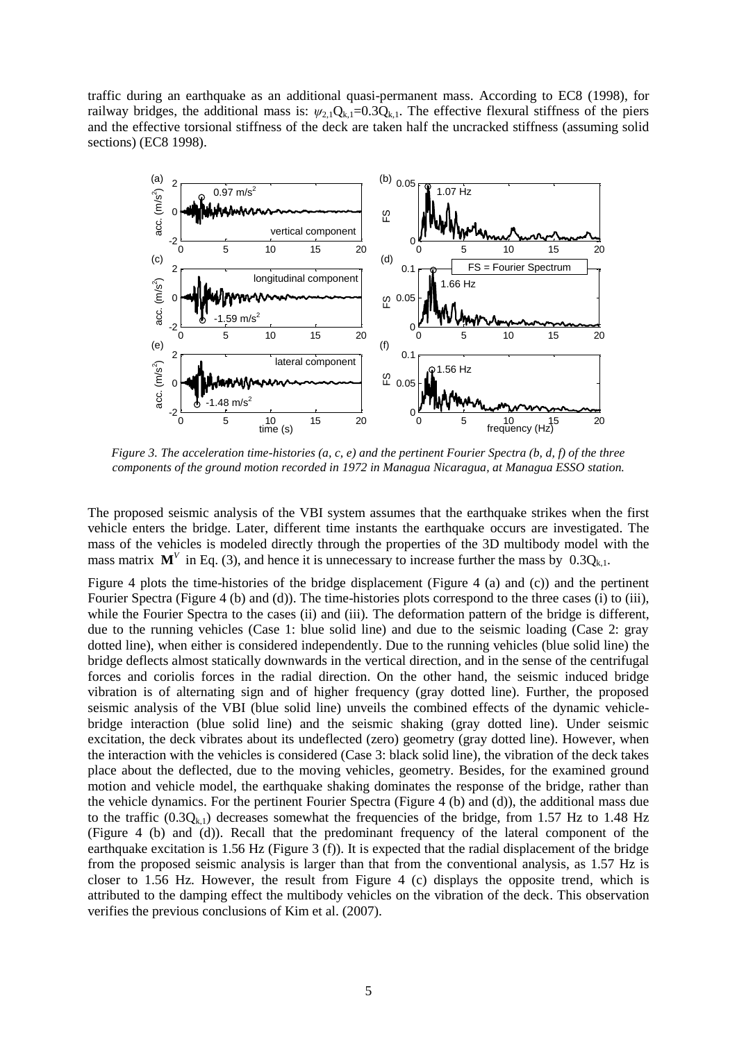traffic during an earthquake as an additional quasi-permanent mass. According to EC8 (1998), for railway bridges, the additional mass is:  $\psi_{2,1}Q_{k,1}=0.3Q_{k,1}$ . The effective flexural stiffness of the piers and the effective torsional stiffness of the deck are taken half the uncracked stiffness (assuming solid sections) (EC8 1998).



<span id="page-4-0"></span>*Figure 3. The acceleration time-histories (a, c, e) and the pertinent Fourier Spectra (b, d, f) of the three components of the ground motion recorded in 1972 in Managua Nicaragua, at Managua ESSO station.* 

The proposed seismic analysis of the VBI system assumes that the earthquake strikes when the first vehicle enters the bridge. Later, different time instants the earthquake occurs are investigated. The mass of the vehicles is modeled directly through the properties of the 3D multibody model with the mass matrix  $M^V$  in Eq. [\(3\),](#page-2-0) and hence it is unnecessary to increase further the mass by  $0.3Q_{k,1}$ .

[Figure 4](#page-5-0) plots the time-histories of the bridge displacement [\(Figure 4](#page-5-0) (a) and (c)) and the pertinent Fourier Spectra [\(Figure 4](#page-5-0) (b) and (d)). The time-histories plots correspond to the three cases (i) to (iii), while the Fourier Spectra to the cases (ii) and (iii). The deformation pattern of the bridge is different, due to the running vehicles (Case 1: blue solid line) and due to the seismic loading (Case 2: gray dotted line), when either is considered independently. Due to the running vehicles (blue solid line) the bridge deflects almost statically downwards in the vertical direction, and in the sense of the centrifugal forces and coriolis forces in the radial direction. On the other hand, the seismic induced bridge vibration is of alternating sign and of higher frequency (gray dotted line). Further, the proposed seismic analysis of the VBI (blue solid line) unveils the combined effects of the dynamic vehiclebridge interaction (blue solid line) and the seismic shaking (gray dotted line). Under seismic excitation, the deck vibrates about its undeflected (zero) geometry (gray dotted line). However, when the interaction with the vehicles is considered (Case 3: black solid line), the vibration of the deck takes place about the deflected, due to the moving vehicles, geometry. Besides, for the examined ground motion and vehicle model, the earthquake shaking dominates the response of the bridge, rather than the vehicle dynamics. For the pertinent Fourier Spectra [\(Figure 4](#page-5-0) (b) and (d)), the additional mass due to the traffic  $(0.3Q_{k,1})$  decreases somewhat the frequencies of the bridge, from 1.57 Hz to 1.48 Hz [\(Figure 4](#page-5-0) (b) and (d)). Recall that the predominant frequency of the lateral component of the earthquake excitation is 1.56 Hz [\(Figure 3](#page-4-0) (f)). It is expected that the radial displacement of the bridge from the proposed seismic analysis is larger than that from the conventional analysis, as 1.57 Hz is closer to 1.56 Hz. However, the result from [Figure 4](#page-5-0) (c) displays the opposite trend, which is attributed to the damping effect the multibody vehicles on the vibration of the deck. This observation verifies the previous conclusions of Kim et al. (2007).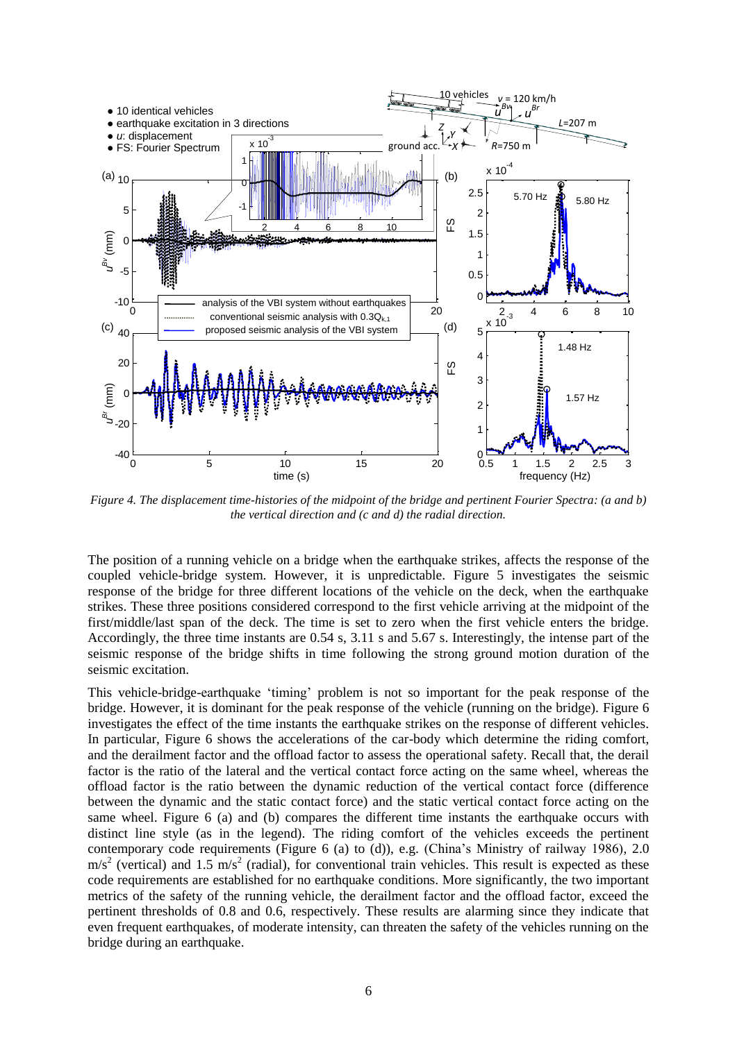

<span id="page-5-0"></span>*Figure 4. The displacement time-histories of the midpoint of the bridge and pertinent Fourier Spectra: (a and b) the vertical direction and (c and d) the radial direction.* 

The position of a running vehicle on a bridge when the earthquake strikes, affects the response of the coupled vehicle-bridge system. However, it is unpredictable. [Figure 5](#page-6-0) investigates the seismic response of the bridge for three different locations of the vehicle on the deck, when the earthquake strikes. These three positions considered correspond to the first vehicle arriving at the midpoint of the first/middle/last span of the deck. The time is set to zero when the first vehicle enters the bridge. Accordingly, the three time instants are 0.54 s, 3.11 s and 5.67 s. Interestingly, the intense part of the seismic response of the bridge shifts in time following the strong ground motion duration of the seismic excitation.

This vehicle-bridge-earthquake 'timing' problem is not so important for the peak response of the bridge. However, it is dominant for the peak response of the vehicle (running on the bridge). [Figure 6](#page-6-1) investigates the effect of the time instants the earthquake strikes on the response of different vehicles. In particular, [Figure 6](#page-6-1) shows the accelerations of the car-body which determine the riding comfort, and the derailment factor and the offload factor to assess the operational safety. Recall that, the derail factor is the ratio of the lateral and the vertical contact force acting on the same wheel, whereas the offload factor is the ratio between the dynamic reduction of the vertical contact force (difference between the dynamic and the static contact force) and the static vertical contact force acting on the same wheel. [Figure 6](#page-6-1) (a) and (b) compares the different time instants the earthquake occurs with distinct line style (as in the legend). The riding comfort of the vehicles exceeds the pertinent contemporary code requirements [\(Figure 6](#page-6-1) (a) to (d)), e.g. (China's Ministry of railway 1986), 2.0  $\text{m/s}^2$  (vertical) and 1.5  $\text{m/s}^2$  (radial), for conventional train vehicles. This result is expected as these code requirements are established for no earthquake conditions. More significantly, the two important metrics of the safety of the running vehicle, the derailment factor and the offload factor, exceed the pertinent thresholds of 0.8 and 0.6, respectively. These results are alarming since they indicate that even frequent earthquakes, of moderate intensity, can threaten the safety of the vehicles running on the bridge during an earthquake.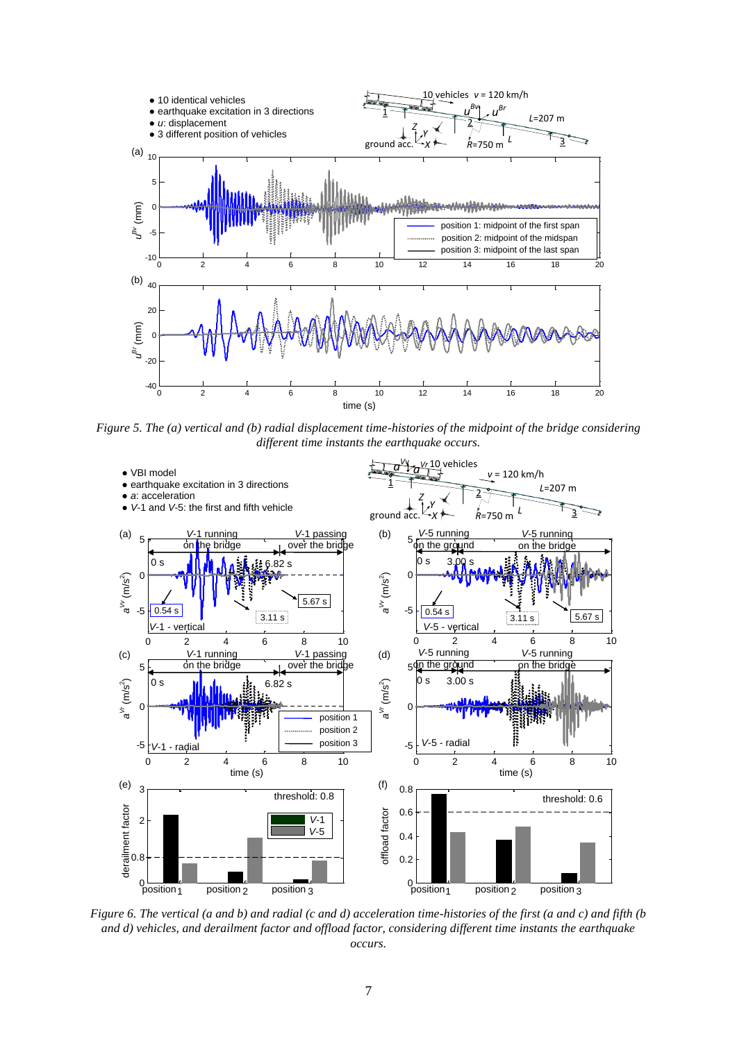

<span id="page-6-0"></span>*Figure 5. The (a) vertical and (b) radial displacement time-histories of the midpoint of the bridge considering different time instants the earthquake occurs.*



<span id="page-6-1"></span>*Figure 6. The vertical (a and b) and radial (c and d) acceleration time-histories of the first (a and c) and fifth (b and d) vehicles, and derailment factor and offload factor, considering different time instants the earthquake occurs.*